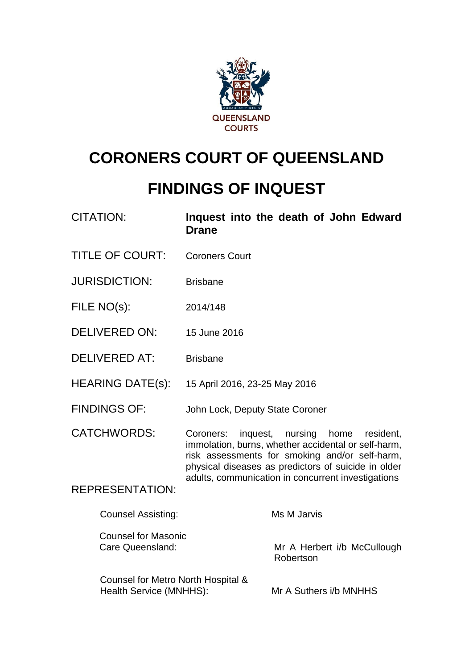

# **CORONERS COURT OF QUEENSLAND**

# **FINDINGS OF INQUEST**

| <b>CITATION:</b>                                              | <b>Drane</b>                                                                                                                                                                                                                                                          | Inquest into the death of John Edward    |
|---------------------------------------------------------------|-----------------------------------------------------------------------------------------------------------------------------------------------------------------------------------------------------------------------------------------------------------------------|------------------------------------------|
| <b>TITLE OF COURT:</b>                                        | <b>Coroners Court</b>                                                                                                                                                                                                                                                 |                                          |
| <b>JURISDICTION:</b>                                          | <b>Brisbane</b>                                                                                                                                                                                                                                                       |                                          |
| FILE NO(s):                                                   | 2014/148                                                                                                                                                                                                                                                              |                                          |
| <b>DELIVERED ON:</b>                                          | 15 June 2016                                                                                                                                                                                                                                                          |                                          |
| <b>DELIVERED AT:</b>                                          | <b>Brisbane</b>                                                                                                                                                                                                                                                       |                                          |
| <b>HEARING DATE(s):</b>                                       | 15 April 2016, 23-25 May 2016                                                                                                                                                                                                                                         |                                          |
| <b>FINDINGS OF:</b>                                           | John Lock, Deputy State Coroner                                                                                                                                                                                                                                       |                                          |
| <b>CATCHWORDS:</b>                                            | Coroners:<br>inquest, nursing home<br>resident,<br>immolation, burns, whether accidental or self-harm,<br>risk assessments for smoking and/or self-harm,<br>physical diseases as predictors of suicide in older<br>adults, communication in concurrent investigations |                                          |
| <b>REPRESENTATION:</b>                                        |                                                                                                                                                                                                                                                                       |                                          |
| <b>Counsel Assisting:</b>                                     |                                                                                                                                                                                                                                                                       | Ms M Jarvis                              |
| <b>Counsel for Masonic</b><br>Care Queensland:                |                                                                                                                                                                                                                                                                       | Mr A Herbert i/b McCullough<br>Robertson |
| Counsel for Metro North Hospital &<br>Health Service (MNHHS): |                                                                                                                                                                                                                                                                       | Mr A Suthers i/b MNHHS                   |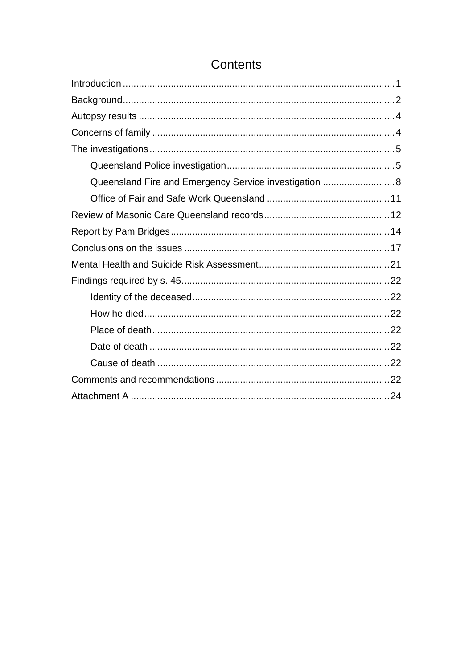| Queensland Fire and Emergency Service investigation  8 |  |
|--------------------------------------------------------|--|
|                                                        |  |
|                                                        |  |
|                                                        |  |
|                                                        |  |
|                                                        |  |
|                                                        |  |
|                                                        |  |
|                                                        |  |
|                                                        |  |
|                                                        |  |
|                                                        |  |
|                                                        |  |
|                                                        |  |

# Contents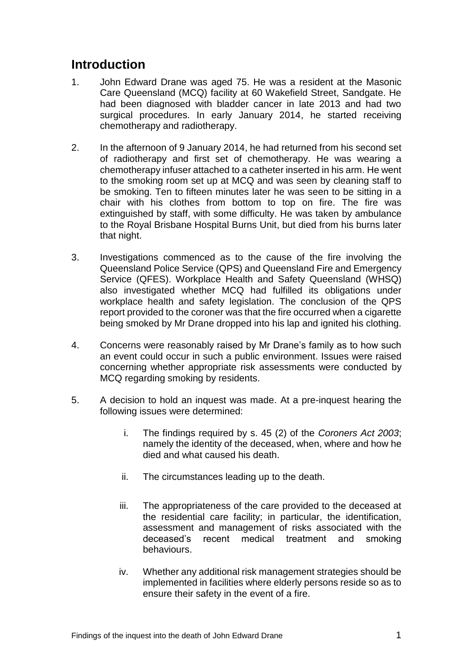### <span id="page-2-0"></span>**Introduction**

- 1. John Edward Drane was aged 75. He was a resident at the Masonic Care Queensland (MCQ) facility at 60 Wakefield Street, Sandgate. He had been diagnosed with bladder cancer in late 2013 and had two surgical procedures. In early January 2014, he started receiving chemotherapy and radiotherapy.
- 2. In the afternoon of 9 January 2014, he had returned from his second set of radiotherapy and first set of chemotherapy. He was wearing a chemotherapy infuser attached to a catheter inserted in his arm. He went to the smoking room set up at MCQ and was seen by cleaning staff to be smoking. Ten to fifteen minutes later he was seen to be sitting in a chair with his clothes from bottom to top on fire. The fire was extinguished by staff, with some difficulty. He was taken by ambulance to the Royal Brisbane Hospital Burns Unit, but died from his burns later that night.
- 3. Investigations commenced as to the cause of the fire involving the Queensland Police Service (QPS) and Queensland Fire and Emergency Service (QFES). Workplace Health and Safety Queensland (WHSQ) also investigated whether MCQ had fulfilled its obligations under workplace health and safety legislation. The conclusion of the QPS report provided to the coroner was that the fire occurred when a cigarette being smoked by Mr Drane dropped into his lap and ignited his clothing.
- 4. Concerns were reasonably raised by Mr Drane's family as to how such an event could occur in such a public environment. Issues were raised concerning whether appropriate risk assessments were conducted by MCQ regarding smoking by residents.
- 5. A decision to hold an inquest was made. At a pre-inquest hearing the following issues were determined:
	- i. The findings required by s. 45 (2) of the *Coroners Act 2003*; namely the identity of the deceased, when, where and how he died and what caused his death.
	- ii. The circumstances leading up to the death.
	- iii. The appropriateness of the care provided to the deceased at the residential care facility; in particular, the identification, assessment and management of risks associated with the deceased's recent medical treatment and smoking behaviours.
	- iv. Whether any additional risk management strategies should be implemented in facilities where elderly persons reside so as to ensure their safety in the event of a fire.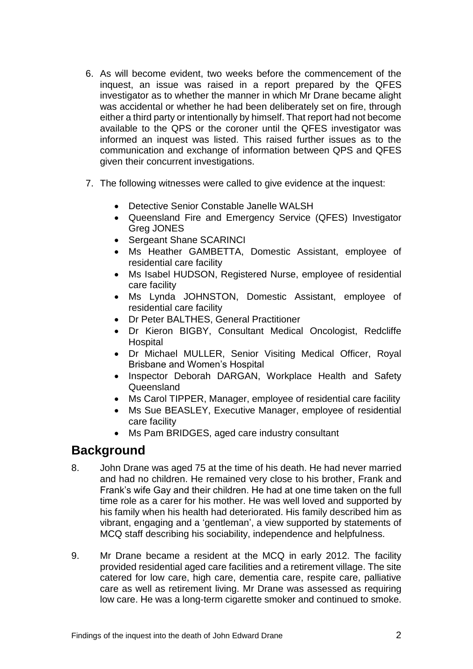- 6. As will become evident, two weeks before the commencement of the inquest, an issue was raised in a report prepared by the QFES investigator as to whether the manner in which Mr Drane became alight was accidental or whether he had been deliberately set on fire, through either a third party or intentionally by himself. That report had not become available to the QPS or the coroner until the QFES investigator was informed an inquest was listed. This raised further issues as to the communication and exchange of information between QPS and QFES given their concurrent investigations.
- 7. The following witnesses were called to give evidence at the inquest:
	- Detective Senior Constable Janelle WALSH
	- Queensland Fire and Emergency Service (QFES) Investigator Greg JONES
	- Sergeant Shane SCARINCI
	- Ms Heather GAMBETTA, Domestic Assistant, employee of residential care facility
	- Ms Isabel HUDSON, Registered Nurse, employee of residential care facility
	- Ms Lynda JOHNSTON, Domestic Assistant, employee of residential care facility
	- Dr Peter BALTHES, General Practitioner
	- Dr Kieron BIGBY, Consultant Medical Oncologist, Redcliffe **Hospital**
	- Dr Michael MULLER, Senior Visiting Medical Officer, Royal Brisbane and Women's Hospital
	- Inspector Deborah DARGAN, Workplace Health and Safety Queensland
	- Ms Carol TIPPER, Manager, employee of residential care facility
	- Ms Sue BEASLEY, Executive Manager, employee of residential care facility
	- Ms Pam BRIDGES, aged care industry consultant

### <span id="page-3-0"></span>**Background**

- 8. John Drane was aged 75 at the time of his death. He had never married and had no children. He remained very close to his brother, Frank and Frank's wife Gay and their children. He had at one time taken on the full time role as a carer for his mother. He was well loved and supported by his family when his health had deteriorated. His family described him as vibrant, engaging and a 'gentleman', a view supported by statements of MCQ staff describing his sociability, independence and helpfulness.
- 9. Mr Drane became a resident at the MCQ in early 2012. The facility provided residential aged care facilities and a retirement village. The site catered for low care, high care, dementia care, respite care, palliative care as well as retirement living. Mr Drane was assessed as requiring low care. He was a long-term cigarette smoker and continued to smoke.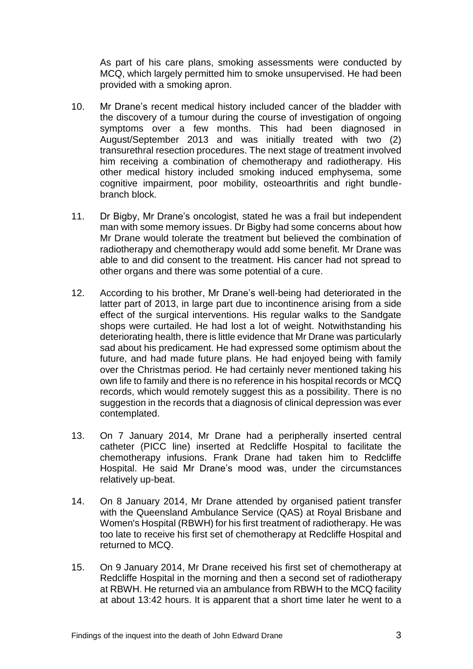As part of his care plans, smoking assessments were conducted by MCQ, which largely permitted him to smoke unsupervised. He had been provided with a smoking apron.

- 10. Mr Drane's recent medical history included cancer of the bladder with the discovery of a tumour during the course of investigation of ongoing symptoms over a few months. This had been diagnosed in August/September 2013 and was initially treated with two (2) transurethral resection procedures. The next stage of treatment involved him receiving a combination of chemotherapy and radiotherapy. His other medical history included smoking induced emphysema, some cognitive impairment, poor mobility, osteoarthritis and right bundlebranch block.
- 11. Dr Bigby, Mr Drane's oncologist, stated he was a frail but independent man with some memory issues. Dr Bigby had some concerns about how Mr Drane would tolerate the treatment but believed the combination of radiotherapy and chemotherapy would add some benefit. Mr Drane was able to and did consent to the treatment. His cancer had not spread to other organs and there was some potential of a cure.
- 12. According to his brother, Mr Drane's well-being had deteriorated in the latter part of 2013, in large part due to incontinence arising from a side effect of the surgical interventions. His regular walks to the Sandgate shops were curtailed. He had lost a lot of weight. Notwithstanding his deteriorating health, there is little evidence that Mr Drane was particularly sad about his predicament. He had expressed some optimism about the future, and had made future plans. He had enjoyed being with family over the Christmas period. He had certainly never mentioned taking his own life to family and there is no reference in his hospital records or MCQ records, which would remotely suggest this as a possibility. There is no suggestion in the records that a diagnosis of clinical depression was ever contemplated.
- 13. On 7 January 2014, Mr Drane had a peripherally inserted central catheter (PICC line) inserted at Redcliffe Hospital to facilitate the chemotherapy infusions. Frank Drane had taken him to Redcliffe Hospital. He said Mr Drane's mood was, under the circumstances relatively up-beat.
- 14. On 8 January 2014, Mr Drane attended by organised patient transfer with the Queensland Ambulance Service (QAS) at Royal Brisbane and Women's Hospital (RBWH) for his first treatment of radiotherapy. He was too late to receive his first set of chemotherapy at Redcliffe Hospital and returned to MCQ.
- 15. On 9 January 2014, Mr Drane received his first set of chemotherapy at Redcliffe Hospital in the morning and then a second set of radiotherapy at RBWH. He returned via an ambulance from RBWH to the MCQ facility at about 13:42 hours. It is apparent that a short time later he went to a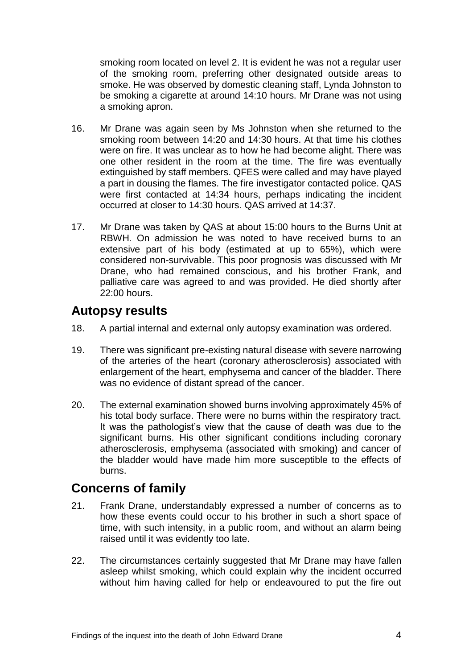smoking room located on level 2. It is evident he was not a regular user of the smoking room, preferring other designated outside areas to smoke. He was observed by domestic cleaning staff, Lynda Johnston to be smoking a cigarette at around 14:10 hours. Mr Drane was not using a smoking apron.

- 16. Mr Drane was again seen by Ms Johnston when she returned to the smoking room between 14:20 and 14:30 hours. At that time his clothes were on fire. It was unclear as to how he had become alight. There was one other resident in the room at the time. The fire was eventually extinguished by staff members. QFES were called and may have played a part in dousing the flames. The fire investigator contacted police. QAS were first contacted at 14:34 hours, perhaps indicating the incident occurred at closer to 14:30 hours. QAS arrived at 14:37.
- 17. Mr Drane was taken by QAS at about 15:00 hours to the Burns Unit at RBWH. On admission he was noted to have received burns to an extensive part of his body (estimated at up to 65%), which were considered non-survivable. This poor prognosis was discussed with Mr Drane, who had remained conscious, and his brother Frank, and palliative care was agreed to and was provided. He died shortly after 22:00 hours.

### <span id="page-5-0"></span>**Autopsy results**

- 18. A partial internal and external only autopsy examination was ordered.
- 19. There was significant pre-existing natural disease with severe narrowing of the arteries of the heart (coronary atherosclerosis) associated with enlargement of the heart, emphysema and cancer of the bladder. There was no evidence of distant spread of the cancer.
- 20. The external examination showed burns involving approximately 45% of his total body surface. There were no burns within the respiratory tract. It was the pathologist's view that the cause of death was due to the significant burns. His other significant conditions including coronary atherosclerosis, emphysema (associated with smoking) and cancer of the bladder would have made him more susceptible to the effects of burns.

### <span id="page-5-1"></span>**Concerns of family**

- 21. Frank Drane, understandably expressed a number of concerns as to how these events could occur to his brother in such a short space of time, with such intensity, in a public room, and without an alarm being raised until it was evidently too late.
- 22. The circumstances certainly suggested that Mr Drane may have fallen asleep whilst smoking, which could explain why the incident occurred without him having called for help or endeavoured to put the fire out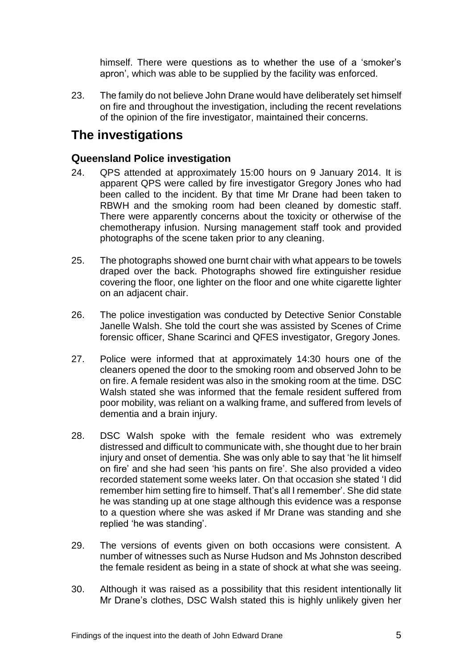himself. There were questions as to whether the use of a 'smoker's apron', which was able to be supplied by the facility was enforced.

23. The family do not believe John Drane would have deliberately set himself on fire and throughout the investigation, including the recent revelations of the opinion of the fire investigator, maintained their concerns.

## <span id="page-6-0"></span>**The investigations**

#### <span id="page-6-1"></span>**Queensland Police investigation**

- 24. QPS attended at approximately 15:00 hours on 9 January 2014. It is apparent QPS were called by fire investigator Gregory Jones who had been called to the incident. By that time Mr Drane had been taken to RBWH and the smoking room had been cleaned by domestic staff. There were apparently concerns about the toxicity or otherwise of the chemotherapy infusion. Nursing management staff took and provided photographs of the scene taken prior to any cleaning.
- 25. The photographs showed one burnt chair with what appears to be towels draped over the back. Photographs showed fire extinguisher residue covering the floor, one lighter on the floor and one white cigarette lighter on an adjacent chair.
- 26. The police investigation was conducted by Detective Senior Constable Janelle Walsh. She told the court she was assisted by Scenes of Crime forensic officer, Shane Scarinci and QFES investigator, Gregory Jones.
- 27. Police were informed that at approximately 14:30 hours one of the cleaners opened the door to the smoking room and observed John to be on fire. A female resident was also in the smoking room at the time. DSC Walsh stated she was informed that the female resident suffered from poor mobility, was reliant on a walking frame, and suffered from levels of dementia and a brain injury.
- 28. DSC Walsh spoke with the female resident who was extremely distressed and difficult to communicate with, she thought due to her brain injury and onset of dementia. She was only able to say that 'he lit himself on fire' and she had seen 'his pants on fire'. She also provided a video recorded statement some weeks later. On that occasion she stated 'I did remember him setting fire to himself. That's all I remember'. She did state he was standing up at one stage although this evidence was a response to a question where she was asked if Mr Drane was standing and she replied 'he was standing'.
- 29. The versions of events given on both occasions were consistent. A number of witnesses such as Nurse Hudson and Ms Johnston described the female resident as being in a state of shock at what she was seeing.
- 30. Although it was raised as a possibility that this resident intentionally lit Mr Drane's clothes, DSC Walsh stated this is highly unlikely given her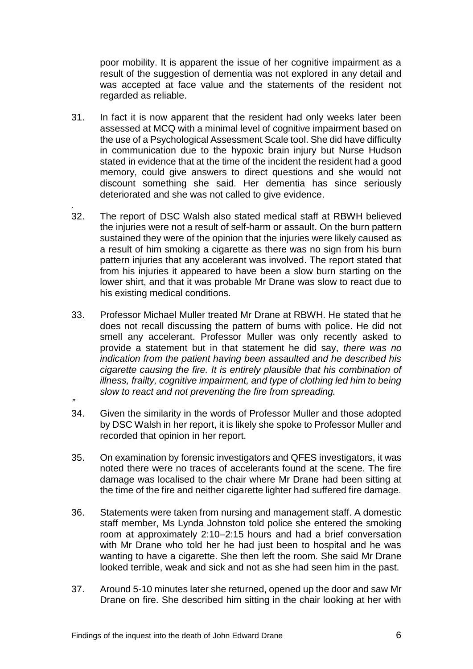poor mobility. It is apparent the issue of her cognitive impairment as a result of the suggestion of dementia was not explored in any detail and was accepted at face value and the statements of the resident not regarded as reliable.

- 31. In fact it is now apparent that the resident had only weeks later been assessed at MCQ with a minimal level of cognitive impairment based on the use of a Psychological Assessment Scale tool. She did have difficulty in communication due to the hypoxic brain injury but Nurse Hudson stated in evidence that at the time of the incident the resident had a good memory, could give answers to direct questions and she would not discount something she said. Her dementia has since seriously deteriorated and she was not called to give evidence.
- . 32. The report of DSC Walsh also stated medical staff at RBWH believed the injuries were not a result of self-harm or assault. On the burn pattern sustained they were of the opinion that the injuries were likely caused as a result of him smoking a cigarette as there was no sign from his burn pattern injuries that any accelerant was involved. The report stated that from his injuries it appeared to have been a slow burn starting on the lower shirt, and that it was probable Mr Drane was slow to react due to his existing medical conditions.
- 33. Professor Michael Muller treated Mr Drane at RBWH. He stated that he does not recall discussing the pattern of burns with police. He did not smell any accelerant. Professor Muller was only recently asked to provide a statement but in that statement he did say, *there was no indication from the patient having been assaulted and he described his cigarette causing the fire. It is entirely plausible that his combination of illness, frailty, cognitive impairment, and type of clothing led him to being slow to react and not preventing the fire from spreading.*
- 34. Given the similarity in the words of Professor Muller and those adopted by DSC Walsh in her report, it is likely she spoke to Professor Muller and recorded that opinion in her report.
- 35. On examination by forensic investigators and QFES investigators, it was noted there were no traces of accelerants found at the scene. The fire damage was localised to the chair where Mr Drane had been sitting at the time of the fire and neither cigarette lighter had suffered fire damage.
- 36. Statements were taken from nursing and management staff. A domestic staff member, Ms Lynda Johnston told police she entered the smoking room at approximately 2:10–2:15 hours and had a brief conversation with Mr Drane who told her he had just been to hospital and he was wanting to have a cigarette. She then left the room. She said Mr Drane looked terrible, weak and sick and not as she had seen him in the past.
- 37. Around 5-10 minutes later she returned, opened up the door and saw Mr Drane on fire. She described him sitting in the chair looking at her with

*"*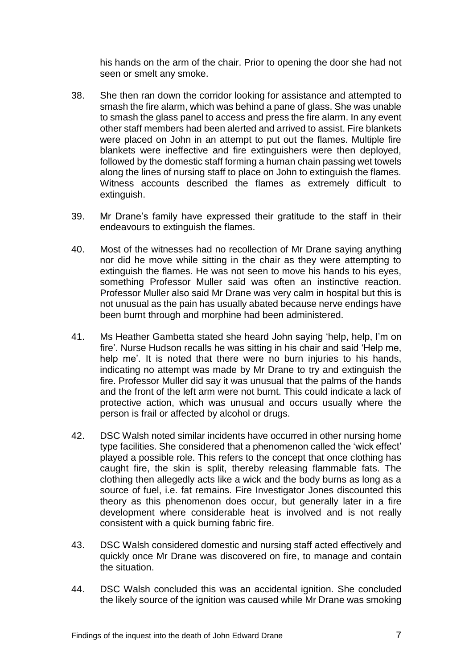his hands on the arm of the chair. Prior to opening the door she had not seen or smelt any smoke.

- 38. She then ran down the corridor looking for assistance and attempted to smash the fire alarm, which was behind a pane of glass. She was unable to smash the glass panel to access and press the fire alarm. In any event other staff members had been alerted and arrived to assist. Fire blankets were placed on John in an attempt to put out the flames. Multiple fire blankets were ineffective and fire extinguishers were then deployed, followed by the domestic staff forming a human chain passing wet towels along the lines of nursing staff to place on John to extinguish the flames. Witness accounts described the flames as extremely difficult to extinguish.
- 39. Mr Drane's family have expressed their gratitude to the staff in their endeavours to extinguish the flames.
- 40. Most of the witnesses had no recollection of Mr Drane saying anything nor did he move while sitting in the chair as they were attempting to extinguish the flames. He was not seen to move his hands to his eyes, something Professor Muller said was often an instinctive reaction. Professor Muller also said Mr Drane was very calm in hospital but this is not unusual as the pain has usually abated because nerve endings have been burnt through and morphine had been administered.
- 41. Ms Heather Gambetta stated she heard John saying 'help, help, I'm on fire'. Nurse Hudson recalls he was sitting in his chair and said 'Help me, help me'. It is noted that there were no burn injuries to his hands, indicating no attempt was made by Mr Drane to try and extinguish the fire. Professor Muller did say it was unusual that the palms of the hands and the front of the left arm were not burnt. This could indicate a lack of protective action, which was unusual and occurs usually where the person is frail or affected by alcohol or drugs.
- 42. DSC Walsh noted similar incidents have occurred in other nursing home type facilities. She considered that a phenomenon called the 'wick effect' played a possible role. This refers to the concept that once clothing has caught fire, the skin is split, thereby releasing flammable fats. The clothing then allegedly acts like a wick and the body burns as long as a source of fuel, i.e. fat remains. Fire Investigator Jones discounted this theory as this phenomenon does occur, but generally later in a fire development where considerable heat is involved and is not really consistent with a quick burning fabric fire.
- 43. DSC Walsh considered domestic and nursing staff acted effectively and quickly once Mr Drane was discovered on fire, to manage and contain the situation.
- 44. DSC Walsh concluded this was an accidental ignition. She concluded the likely source of the ignition was caused while Mr Drane was smoking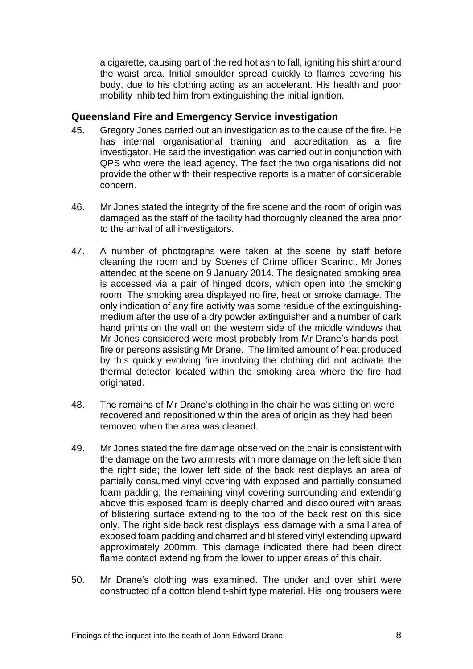a cigarette, causing part of the red hot ash to fall, igniting his shirt around the waist area. Initial smoulder spread quickly to flames covering his body, due to his clothing acting as an accelerant. His health and poor mobility inhibited him from extinguishing the initial ignition.

#### <span id="page-9-0"></span>**Queensland Fire and Emergency Service investigation**

- 45. Gregory Jones carried out an investigation as to the cause of the fire. He has internal organisational training and accreditation as a fire investigator. He said the investigation was carried out in conjunction with QPS who were the lead agency. The fact the two organisations did not provide the other with their respective reports is a matter of considerable concern.
- 46. Mr Jones stated the integrity of the fire scene and the room of origin was damaged as the staff of the facility had thoroughly cleaned the area prior to the arrival of all investigators.
- 47. A number of photographs were taken at the scene by staff before cleaning the room and by Scenes of Crime officer Scarinci. Mr Jones attended at the scene on 9 January 2014. The designated smoking area is accessed via a pair of hinged doors, which open into the smoking room. The smoking area displayed no fire, heat or smoke damage. The only indication of any fire activity was some residue of the extinguishingmedium after the use of a dry powder extinguisher and a number of dark hand prints on the wall on the western side of the middle windows that Mr Jones considered were most probably from Mr Drane's hands postfire or persons assisting Mr Drane. The limited amount of heat produced by this quickly evolving fire involving the clothing did not activate the thermal detector located within the smoking area where the fire had originated.
- 48. The remains of Mr Drane's clothing in the chair he was sitting on were recovered and repositioned within the area of origin as they had been removed when the area was cleaned.
- 49. Mr Jones stated the fire damage observed on the chair is consistent with the damage on the two armrests with more damage on the left side than the right side; the lower left side of the back rest displays an area of partially consumed vinyl covering with exposed and partially consumed foam padding; the remaining vinyl covering surrounding and extending above this exposed foam is deeply charred and discoloured with areas of blistering surface extending to the top of the back rest on this side only. The right side back rest displays less damage with a small area of exposed foam padding and charred and blistered vinyl extending upward approximately 200mm. This damage indicated there had been direct flame contact extending from the lower to upper areas of this chair.
- 50. Mr Drane's clothing was examined. The under and over shirt were constructed of a cotton blend t-shirt type material. His long trousers were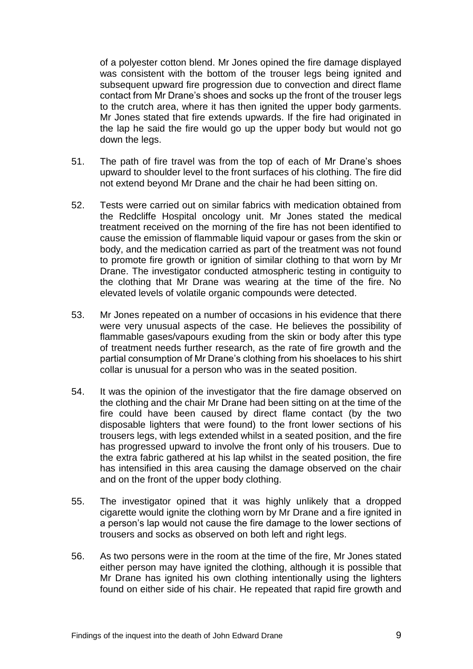of a polyester cotton blend. Mr Jones opined the fire damage displayed was consistent with the bottom of the trouser legs being ignited and subsequent upward fire progression due to convection and direct flame contact from Mr Drane's shoes and socks up the front of the trouser legs to the crutch area, where it has then ignited the upper body garments. Mr Jones stated that fire extends upwards. If the fire had originated in the lap he said the fire would go up the upper body but would not go down the legs.

- 51. The path of fire travel was from the top of each of Mr Drane's shoes upward to shoulder level to the front surfaces of his clothing. The fire did not extend beyond Mr Drane and the chair he had been sitting on.
- 52. Tests were carried out on similar fabrics with medication obtained from the Redcliffe Hospital oncology unit. Mr Jones stated the medical treatment received on the morning of the fire has not been identified to cause the emission of flammable liquid vapour or gases from the skin or body, and the medication carried as part of the treatment was not found to promote fire growth or ignition of similar clothing to that worn by Mr Drane. The investigator conducted atmospheric testing in contiguity to the clothing that Mr Drane was wearing at the time of the fire. No elevated levels of volatile organic compounds were detected.
- 53. Mr Jones repeated on a number of occasions in his evidence that there were very unusual aspects of the case. He believes the possibility of flammable gases/vapours exuding from the skin or body after this type of treatment needs further research, as the rate of fire growth and the partial consumption of Mr Drane's clothing from his shoelaces to his shirt collar is unusual for a person who was in the seated position.
- 54. It was the opinion of the investigator that the fire damage observed on the clothing and the chair Mr Drane had been sitting on at the time of the fire could have been caused by direct flame contact (by the two disposable lighters that were found) to the front lower sections of his trousers legs, with legs extended whilst in a seated position, and the fire has progressed upward to involve the front only of his trousers. Due to the extra fabric gathered at his lap whilst in the seated position, the fire has intensified in this area causing the damage observed on the chair and on the front of the upper body clothing.
- 55. The investigator opined that it was highly unlikely that a dropped cigarette would ignite the clothing worn by Mr Drane and a fire ignited in a person's lap would not cause the fire damage to the lower sections of trousers and socks as observed on both left and right legs.
- 56. As two persons were in the room at the time of the fire, Mr Jones stated either person may have ignited the clothing, although it is possible that Mr Drane has ignited his own clothing intentionally using the lighters found on either side of his chair. He repeated that rapid fire growth and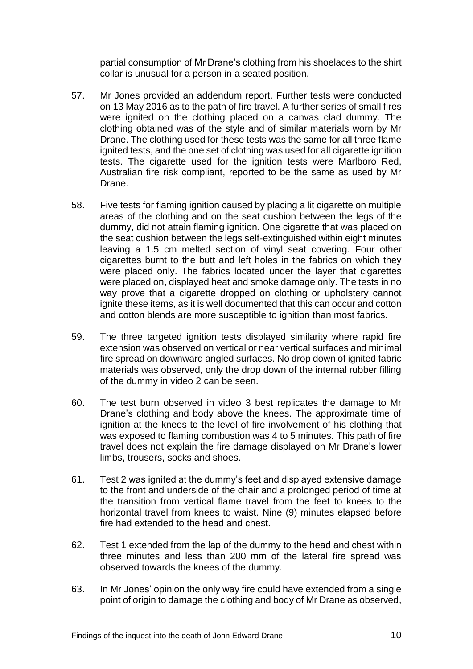partial consumption of Mr Drane's clothing from his shoelaces to the shirt collar is unusual for a person in a seated position.

- 57. Mr Jones provided an addendum report. Further tests were conducted on 13 May 2016 as to the path of fire travel. A further series of small fires were ignited on the clothing placed on a canvas clad dummy. The clothing obtained was of the style and of similar materials worn by Mr Drane. The clothing used for these tests was the same for all three flame ignited tests, and the one set of clothing was used for all cigarette ignition tests. The cigarette used for the ignition tests were Marlboro Red, Australian fire risk compliant, reported to be the same as used by Mr Drane.
- 58. Five tests for flaming ignition caused by placing a lit cigarette on multiple areas of the clothing and on the seat cushion between the legs of the dummy, did not attain flaming ignition. One cigarette that was placed on the seat cushion between the legs self-extinguished within eight minutes leaving a 1.5 cm melted section of vinyl seat covering. Four other cigarettes burnt to the butt and left holes in the fabrics on which they were placed only. The fabrics located under the layer that cigarettes were placed on, displayed heat and smoke damage only. The tests in no way prove that a cigarette dropped on clothing or upholstery cannot ignite these items, as it is well documented that this can occur and cotton and cotton blends are more susceptible to ignition than most fabrics.
- 59. The three targeted ignition tests displayed similarity where rapid fire extension was observed on vertical or near vertical surfaces and minimal fire spread on downward angled surfaces. No drop down of ignited fabric materials was observed, only the drop down of the internal rubber filling of the dummy in video 2 can be seen.
- 60. The test burn observed in video 3 best replicates the damage to Mr Drane's clothing and body above the knees. The approximate time of ignition at the knees to the level of fire involvement of his clothing that was exposed to flaming combustion was 4 to 5 minutes. This path of fire travel does not explain the fire damage displayed on Mr Drane's lower limbs, trousers, socks and shoes.
- 61. Test 2 was ignited at the dummy's feet and displayed extensive damage to the front and underside of the chair and a prolonged period of time at the transition from vertical flame travel from the feet to knees to the horizontal travel from knees to waist. Nine (9) minutes elapsed before fire had extended to the head and chest.
- 62. Test 1 extended from the lap of the dummy to the head and chest within three minutes and less than 200 mm of the lateral fire spread was observed towards the knees of the dummy.
- 63. In Mr Jones' opinion the only way fire could have extended from a single point of origin to damage the clothing and body of Mr Drane as observed,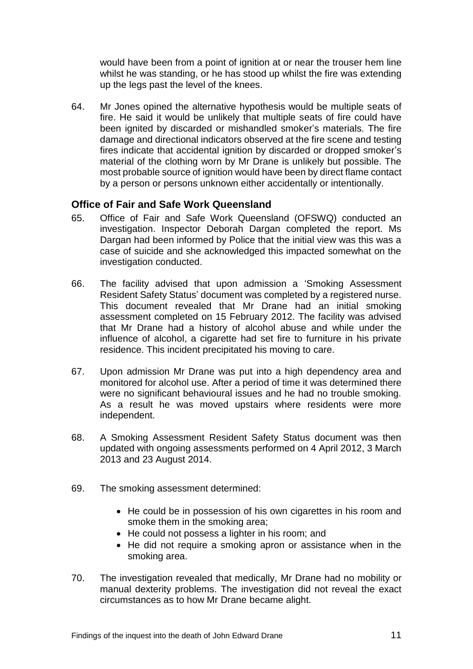would have been from a point of ignition at or near the trouser hem line whilst he was standing, or he has stood up whilst the fire was extending up the legs past the level of the knees.

64. Mr Jones opined the alternative hypothesis would be multiple seats of fire. He said it would be unlikely that multiple seats of fire could have been ignited by discarded or mishandled smoker's materials. The fire damage and directional indicators observed at the fire scene and testing fires indicate that accidental ignition by discarded or dropped smoker's material of the clothing worn by Mr Drane is unlikely but possible. The most probable source of ignition would have been by direct flame contact by a person or persons unknown either accidentally or intentionally.

#### <span id="page-12-0"></span>**Office of Fair and Safe Work Queensland**

- 65. Office of Fair and Safe Work Queensland (OFSWQ) conducted an investigation. Inspector Deborah Dargan completed the report. Ms Dargan had been informed by Police that the initial view was this was a case of suicide and she acknowledged this impacted somewhat on the investigation conducted.
- 66. The facility advised that upon admission a 'Smoking Assessment Resident Safety Status' document was completed by a registered nurse. This document revealed that Mr Drane had an initial smoking assessment completed on 15 February 2012. The facility was advised that Mr Drane had a history of alcohol abuse and while under the influence of alcohol, a cigarette had set fire to furniture in his private residence. This incident precipitated his moving to care.
- 67. Upon admission Mr Drane was put into a high dependency area and monitored for alcohol use. After a period of time it was determined there were no significant behavioural issues and he had no trouble smoking. As a result he was moved upstairs where residents were more independent.
- 68. A Smoking Assessment Resident Safety Status document was then updated with ongoing assessments performed on 4 April 2012, 3 March 2013 and 23 August 2014.
- 69. The smoking assessment determined:
	- He could be in possession of his own cigarettes in his room and smoke them in the smoking area;
	- He could not possess a lighter in his room; and
	- He did not require a smoking apron or assistance when in the smoking area.
- 70. The investigation revealed that medically, Mr Drane had no mobility or manual dexterity problems. The investigation did not reveal the exact circumstances as to how Mr Drane became alight.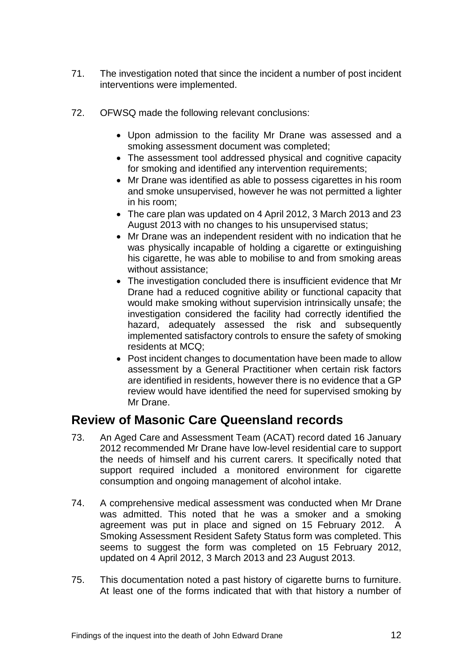- 71. The investigation noted that since the incident a number of post incident interventions were implemented.
- 72. OFWSQ made the following relevant conclusions:
	- Upon admission to the facility Mr Drane was assessed and a smoking assessment document was completed;
	- The assessment tool addressed physical and cognitive capacity for smoking and identified any intervention requirements;
	- Mr Drane was identified as able to possess cigarettes in his room and smoke unsupervised, however he was not permitted a lighter in his room;
	- The care plan was updated on 4 April 2012, 3 March 2013 and 23 August 2013 with no changes to his unsupervised status;
	- Mr Drane was an independent resident with no indication that he was physically incapable of holding a cigarette or extinguishing his cigarette, he was able to mobilise to and from smoking areas without assistance;
	- The investigation concluded there is insufficient evidence that Mr Drane had a reduced cognitive ability or functional capacity that would make smoking without supervision intrinsically unsafe; the investigation considered the facility had correctly identified the hazard, adequately assessed the risk and subsequently implemented satisfactory controls to ensure the safety of smoking residents at MCQ;
	- Post incident changes to documentation have been made to allow assessment by a General Practitioner when certain risk factors are identified in residents, however there is no evidence that a GP review would have identified the need for supervised smoking by Mr Drane.

### <span id="page-13-0"></span>**Review of Masonic Care Queensland records**

- 73. An Aged Care and Assessment Team (ACAT) record dated 16 January 2012 recommended Mr Drane have low-level residential care to support the needs of himself and his current carers. It specifically noted that support required included a monitored environment for cigarette consumption and ongoing management of alcohol intake.
- 74. A comprehensive medical assessment was conducted when Mr Drane was admitted. This noted that he was a smoker and a smoking agreement was put in place and signed on 15 February 2012. A Smoking Assessment Resident Safety Status form was completed. This seems to suggest the form was completed on 15 February 2012, updated on 4 April 2012, 3 March 2013 and 23 August 2013.
- 75. This documentation noted a past history of cigarette burns to furniture. At least one of the forms indicated that with that history a number of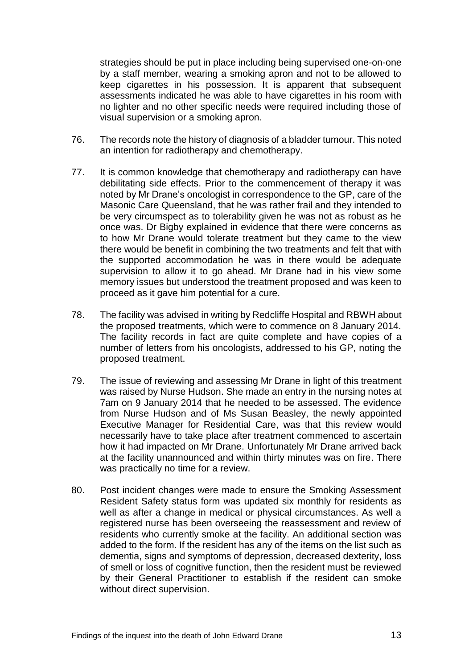strategies should be put in place including being supervised one-on-one by a staff member, wearing a smoking apron and not to be allowed to keep cigarettes in his possession. It is apparent that subsequent assessments indicated he was able to have cigarettes in his room with no lighter and no other specific needs were required including those of visual supervision or a smoking apron.

- 76. The records note the history of diagnosis of a bladder tumour. This noted an intention for radiotherapy and chemotherapy.
- 77. It is common knowledge that chemotherapy and radiotherapy can have debilitating side effects. Prior to the commencement of therapy it was noted by Mr Drane's oncologist in correspondence to the GP, care of the Masonic Care Queensland, that he was rather frail and they intended to be very circumspect as to tolerability given he was not as robust as he once was. Dr Bigby explained in evidence that there were concerns as to how Mr Drane would tolerate treatment but they came to the view there would be benefit in combining the two treatments and felt that with the supported accommodation he was in there would be adequate supervision to allow it to go ahead. Mr Drane had in his view some memory issues but understood the treatment proposed and was keen to proceed as it gave him potential for a cure.
- 78. The facility was advised in writing by Redcliffe Hospital and RBWH about the proposed treatments, which were to commence on 8 January 2014. The facility records in fact are quite complete and have copies of a number of letters from his oncologists, addressed to his GP, noting the proposed treatment.
- 79. The issue of reviewing and assessing Mr Drane in light of this treatment was raised by Nurse Hudson. She made an entry in the nursing notes at 7am on 9 January 2014 that he needed to be assessed. The evidence from Nurse Hudson and of Ms Susan Beasley, the newly appointed Executive Manager for Residential Care, was that this review would necessarily have to take place after treatment commenced to ascertain how it had impacted on Mr Drane. Unfortunately Mr Drane arrived back at the facility unannounced and within thirty minutes was on fire. There was practically no time for a review.
- 80. Post incident changes were made to ensure the Smoking Assessment Resident Safety status form was updated six monthly for residents as well as after a change in medical or physical circumstances. As well a registered nurse has been overseeing the reassessment and review of residents who currently smoke at the facility. An additional section was added to the form. If the resident has any of the items on the list such as dementia, signs and symptoms of depression, decreased dexterity, loss of smell or loss of cognitive function, then the resident must be reviewed by their General Practitioner to establish if the resident can smoke without direct supervision.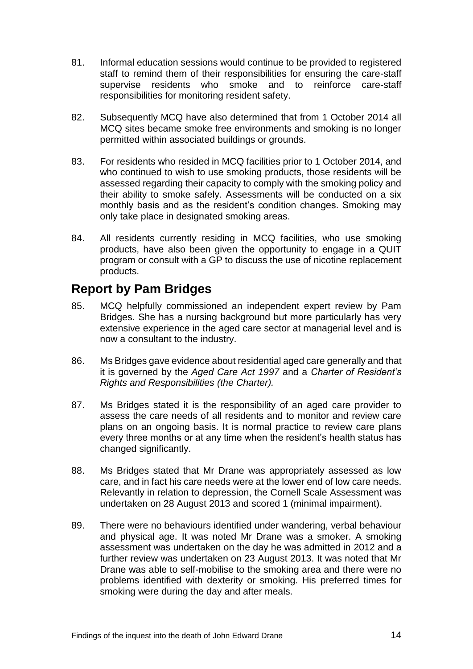- 81. Informal education sessions would continue to be provided to registered staff to remind them of their responsibilities for ensuring the care-staff supervise residents who smoke and to reinforce care-staff responsibilities for monitoring resident safety.
- 82. Subsequently MCQ have also determined that from 1 October 2014 all MCQ sites became smoke free environments and smoking is no longer permitted within associated buildings or grounds.
- 83. For residents who resided in MCQ facilities prior to 1 October 2014, and who continued to wish to use smoking products, those residents will be assessed regarding their capacity to comply with the smoking policy and their ability to smoke safely. Assessments will be conducted on a six monthly basis and as the resident's condition changes. Smoking may only take place in designated smoking areas.
- 84. All residents currently residing in MCQ facilities, who use smoking products, have also been given the opportunity to engage in a QUIT program or consult with a GP to discuss the use of nicotine replacement products.

## <span id="page-15-0"></span>**Report by Pam Bridges**

- 85. MCQ helpfully commissioned an independent expert review by Pam Bridges. She has a nursing background but more particularly has very extensive experience in the aged care sector at managerial level and is now a consultant to the industry.
- 86. Ms Bridges gave evidence about residential aged care generally and that it is governed by the *Aged Care Act 1997* and a *Charter of Resident's Rights and Responsibilities (the Charter).*
- 87. Ms Bridges stated it is the responsibility of an aged care provider to assess the care needs of all residents and to monitor and review care plans on an ongoing basis. It is normal practice to review care plans every three months or at any time when the resident's health status has changed significantly.
- 88. Ms Bridges stated that Mr Drane was appropriately assessed as low care, and in fact his care needs were at the lower end of low care needs. Relevantly in relation to depression, the Cornell Scale Assessment was undertaken on 28 August 2013 and scored 1 (minimal impairment).
- 89. There were no behaviours identified under wandering, verbal behaviour and physical age. It was noted Mr Drane was a smoker. A smoking assessment was undertaken on the day he was admitted in 2012 and a further review was undertaken on 23 August 2013. It was noted that Mr Drane was able to self-mobilise to the smoking area and there were no problems identified with dexterity or smoking. His preferred times for smoking were during the day and after meals.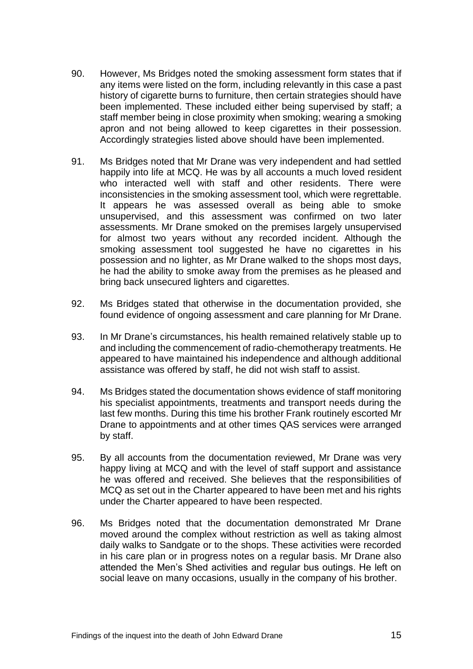- 90. However, Ms Bridges noted the smoking assessment form states that if any items were listed on the form, including relevantly in this case a past history of cigarette burns to furniture, then certain strategies should have been implemented. These included either being supervised by staff; a staff member being in close proximity when smoking; wearing a smoking apron and not being allowed to keep cigarettes in their possession. Accordingly strategies listed above should have been implemented.
- 91. Ms Bridges noted that Mr Drane was very independent and had settled happily into life at MCQ. He was by all accounts a much loved resident who interacted well with staff and other residents. There were inconsistencies in the smoking assessment tool, which were regrettable. It appears he was assessed overall as being able to smoke unsupervised, and this assessment was confirmed on two later assessments. Mr Drane smoked on the premises largely unsupervised for almost two years without any recorded incident. Although the smoking assessment tool suggested he have no cigarettes in his possession and no lighter, as Mr Drane walked to the shops most days, he had the ability to smoke away from the premises as he pleased and bring back unsecured lighters and cigarettes.
- 92. Ms Bridges stated that otherwise in the documentation provided, she found evidence of ongoing assessment and care planning for Mr Drane.
- 93. In Mr Drane's circumstances, his health remained relatively stable up to and including the commencement of radio-chemotherapy treatments. He appeared to have maintained his independence and although additional assistance was offered by staff, he did not wish staff to assist.
- 94. Ms Bridges stated the documentation shows evidence of staff monitoring his specialist appointments, treatments and transport needs during the last few months. During this time his brother Frank routinely escorted Mr Drane to appointments and at other times QAS services were arranged by staff.
- 95. By all accounts from the documentation reviewed, Mr Drane was very happy living at MCQ and with the level of staff support and assistance he was offered and received. She believes that the responsibilities of MCQ as set out in the Charter appeared to have been met and his rights under the Charter appeared to have been respected.
- 96. Ms Bridges noted that the documentation demonstrated Mr Drane moved around the complex without restriction as well as taking almost daily walks to Sandgate or to the shops. These activities were recorded in his care plan or in progress notes on a regular basis. Mr Drane also attended the Men's Shed activities and regular bus outings. He left on social leave on many occasions, usually in the company of his brother.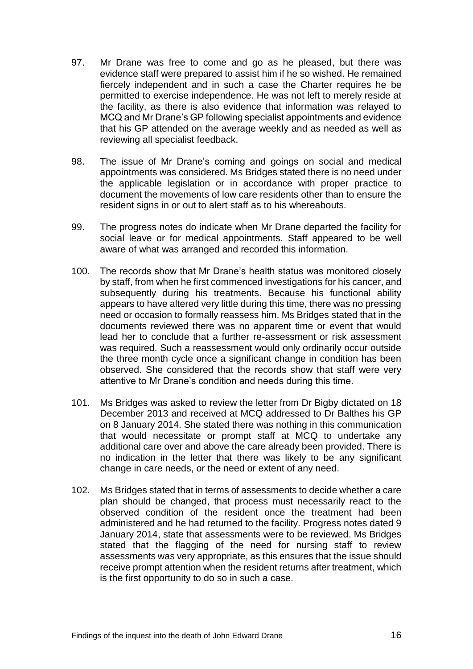- 97. Mr Drane was free to come and go as he pleased, but there was evidence staff were prepared to assist him if he so wished. He remained fiercely independent and in such a case the Charter requires he be permitted to exercise independence. He was not left to merely reside at the facility, as there is also evidence that information was relayed to MCQ and Mr Drane's GP following specialist appointments and evidence that his GP attended on the average weekly and as needed as well as reviewing all specialist feedback.
- 98. The issue of Mr Drane's coming and goings on social and medical appointments was considered. Ms Bridges stated there is no need under the applicable legislation or in accordance with proper practice to document the movements of low care residents other than to ensure the resident signs in or out to alert staff as to his whereabouts.
- 99. The progress notes do indicate when Mr Drane departed the facility for social leave or for medical appointments. Staff appeared to be well aware of what was arranged and recorded this information.
- 100. The records show that Mr Drane's health status was monitored closely by staff, from when he first commenced investigations for his cancer, and subsequently during his treatments. Because his functional ability appears to have altered very little during this time, there was no pressing need or occasion to formally reassess him. Ms Bridges stated that in the documents reviewed there was no apparent time or event that would lead her to conclude that a further re-assessment or risk assessment was required. Such a reassessment would only ordinarily occur outside the three month cycle once a significant change in condition has been observed. She considered that the records show that staff were very attentive to Mr Drane's condition and needs during this time.
- 101. Ms Bridges was asked to review the letter from Dr Bigby dictated on 18 December 2013 and received at MCQ addressed to Dr Balthes his GP on 8 January 2014. She stated there was nothing in this communication that would necessitate or prompt staff at MCQ to undertake any additional care over and above the care already been provided. There is no indication in the letter that there was likely to be any significant change in care needs, or the need or extent of any need.
- 102. Ms Bridges stated that in terms of assessments to decide whether a care plan should be changed, that process must necessarily react to the observed condition of the resident once the treatment had been administered and he had returned to the facility. Progress notes dated 9 January 2014, state that assessments were to be reviewed. Ms Bridges stated that the flagging of the need for nursing staff to review assessments was very appropriate, as this ensures that the issue should receive prompt attention when the resident returns after treatment, which is the first opportunity to do so in such a case.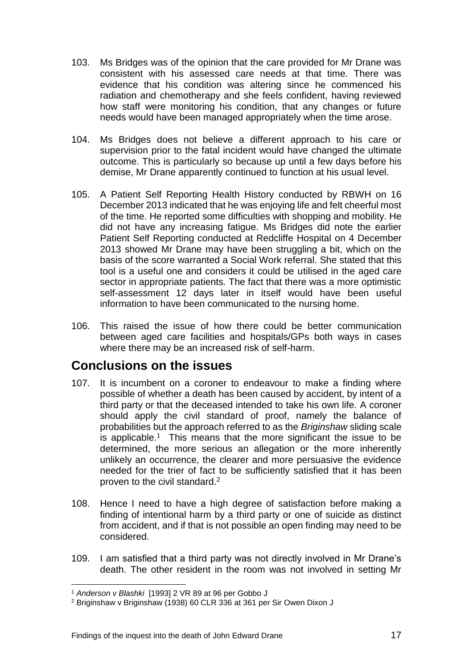- 103. Ms Bridges was of the opinion that the care provided for Mr Drane was consistent with his assessed care needs at that time. There was evidence that his condition was altering since he commenced his radiation and chemotherapy and she feels confident, having reviewed how staff were monitoring his condition, that any changes or future needs would have been managed appropriately when the time arose.
- 104. Ms Bridges does not believe a different approach to his care or supervision prior to the fatal incident would have changed the ultimate outcome. This is particularly so because up until a few days before his demise, Mr Drane apparently continued to function at his usual level.
- 105. A Patient Self Reporting Health History conducted by RBWH on 16 December 2013 indicated that he was enjoying life and felt cheerful most of the time. He reported some difficulties with shopping and mobility. He did not have any increasing fatigue. Ms Bridges did note the earlier Patient Self Reporting conducted at Redcliffe Hospital on 4 December 2013 showed Mr Drane may have been struggling a bit, which on the basis of the score warranted a Social Work referral. She stated that this tool is a useful one and considers it could be utilised in the aged care sector in appropriate patients. The fact that there was a more optimistic self-assessment 12 days later in itself would have been useful information to have been communicated to the nursing home.
- 106. This raised the issue of how there could be better communication between aged care facilities and hospitals/GPs both ways in cases where there may be an increased risk of self-harm.

### <span id="page-18-0"></span>**Conclusions on the issues**

- 107. It is incumbent on a coroner to endeavour to make a finding where possible of whether a death has been caused by accident, by intent of a third party or that the deceased intended to take his own life. A coroner should apply the civil standard of proof, namely the balance of probabilities but the approach referred to as the *Briginshaw* sliding scale is applicable.<sup>1</sup> This means that the more significant the issue to be determined, the more serious an allegation or the more inherently unlikely an occurrence, the clearer and more persuasive the evidence needed for the trier of fact to be sufficiently satisfied that it has been proven to the civil standard.<sup>2</sup>
- 108. Hence I need to have a high degree of satisfaction before making a finding of intentional harm by a third party or one of suicide as distinct from accident, and if that is not possible an open finding may need to be considered.
- 109. I am satisfied that a third party was not directly involved in Mr Drane's death. The other resident in the room was not involved in setting Mr

l

<sup>1</sup> *Anderson v Blashki* [1993] 2 VR 89 at 96 per Gobbo J

<sup>2</sup> Briginshaw v Briginshaw (1938) 60 CLR 336 at 361 per Sir Owen Dixon J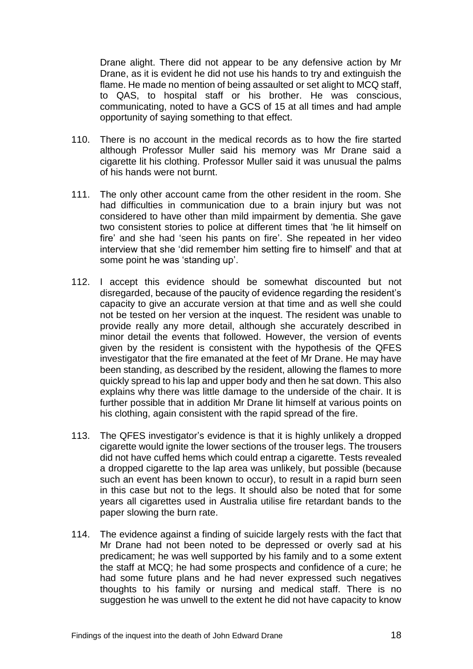Drane alight. There did not appear to be any defensive action by Mr Drane, as it is evident he did not use his hands to try and extinguish the flame. He made no mention of being assaulted or set alight to MCQ staff, to QAS, to hospital staff or his brother. He was conscious, communicating, noted to have a GCS of 15 at all times and had ample opportunity of saying something to that effect.

- 110. There is no account in the medical records as to how the fire started although Professor Muller said his memory was Mr Drane said a cigarette lit his clothing. Professor Muller said it was unusual the palms of his hands were not burnt.
- 111. The only other account came from the other resident in the room. She had difficulties in communication due to a brain injury but was not considered to have other than mild impairment by dementia. She gave two consistent stories to police at different times that 'he lit himself on fire' and she had 'seen his pants on fire'. She repeated in her video interview that she 'did remember him setting fire to himself' and that at some point he was 'standing up'.
- 112. I accept this evidence should be somewhat discounted but not disregarded, because of the paucity of evidence regarding the resident's capacity to give an accurate version at that time and as well she could not be tested on her version at the inquest. The resident was unable to provide really any more detail, although she accurately described in minor detail the events that followed. However, the version of events given by the resident is consistent with the hypothesis of the QFES investigator that the fire emanated at the feet of Mr Drane. He may have been standing, as described by the resident, allowing the flames to more quickly spread to his lap and upper body and then he sat down. This also explains why there was little damage to the underside of the chair. It is further possible that in addition Mr Drane lit himself at various points on his clothing, again consistent with the rapid spread of the fire.
- 113. The QFES investigator's evidence is that it is highly unlikely a dropped cigarette would ignite the lower sections of the trouser legs. The trousers did not have cuffed hems which could entrap a cigarette. Tests revealed a dropped cigarette to the lap area was unlikely, but possible (because such an event has been known to occur), to result in a rapid burn seen in this case but not to the legs. It should also be noted that for some years all cigarettes used in Australia utilise fire retardant bands to the paper slowing the burn rate.
- 114. The evidence against a finding of suicide largely rests with the fact that Mr Drane had not been noted to be depressed or overly sad at his predicament; he was well supported by his family and to a some extent the staff at MCQ; he had some prospects and confidence of a cure; he had some future plans and he had never expressed such negatives thoughts to his family or nursing and medical staff. There is no suggestion he was unwell to the extent he did not have capacity to know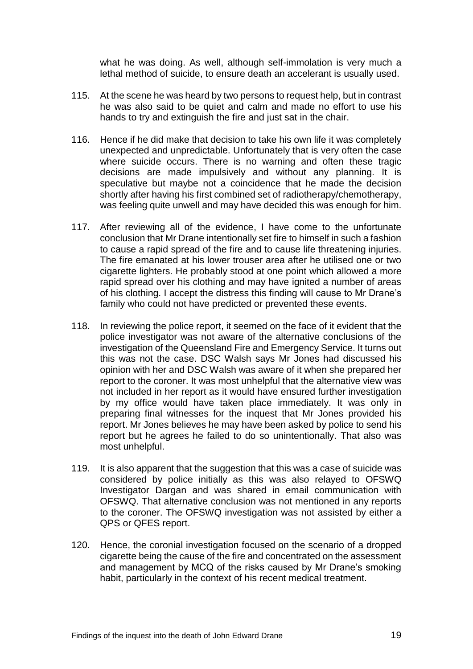what he was doing. As well, although self-immolation is very much a lethal method of suicide, to ensure death an accelerant is usually used.

- 115. At the scene he was heard by two persons to request help, but in contrast he was also said to be quiet and calm and made no effort to use his hands to try and extinguish the fire and just sat in the chair.
- 116. Hence if he did make that decision to take his own life it was completely unexpected and unpredictable. Unfortunately that is very often the case where suicide occurs. There is no warning and often these tragic decisions are made impulsively and without any planning. It is speculative but maybe not a coincidence that he made the decision shortly after having his first combined set of radiotherapy/chemotherapy, was feeling quite unwell and may have decided this was enough for him.
- 117. After reviewing all of the evidence, I have come to the unfortunate conclusion that Mr Drane intentionally set fire to himself in such a fashion to cause a rapid spread of the fire and to cause life threatening injuries. The fire emanated at his lower trouser area after he utilised one or two cigarette lighters. He probably stood at one point which allowed a more rapid spread over his clothing and may have ignited a number of areas of his clothing. I accept the distress this finding will cause to Mr Drane's family who could not have predicted or prevented these events.
- 118. In reviewing the police report, it seemed on the face of it evident that the police investigator was not aware of the alternative conclusions of the investigation of the Queensland Fire and Emergency Service. It turns out this was not the case. DSC Walsh says Mr Jones had discussed his opinion with her and DSC Walsh was aware of it when she prepared her report to the coroner. It was most unhelpful that the alternative view was not included in her report as it would have ensured further investigation by my office would have taken place immediately. It was only in preparing final witnesses for the inquest that Mr Jones provided his report. Mr Jones believes he may have been asked by police to send his report but he agrees he failed to do so unintentionally. That also was most unhelpful.
- 119. It is also apparent that the suggestion that this was a case of suicide was considered by police initially as this was also relayed to OFSWQ Investigator Dargan and was shared in email communication with OFSWQ. That alternative conclusion was not mentioned in any reports to the coroner. The OFSWQ investigation was not assisted by either a QPS or QFES report.
- 120. Hence, the coronial investigation focused on the scenario of a dropped cigarette being the cause of the fire and concentrated on the assessment and management by MCQ of the risks caused by Mr Drane's smoking habit, particularly in the context of his recent medical treatment.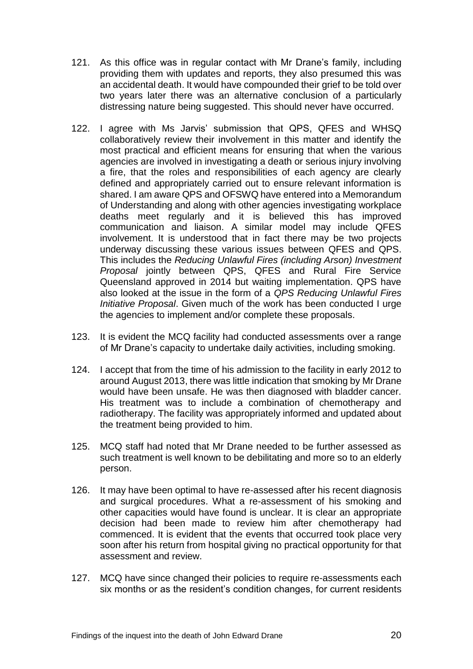- 121. As this office was in regular contact with Mr Drane's family, including providing them with updates and reports, they also presumed this was an accidental death. It would have compounded their grief to be told over two years later there was an alternative conclusion of a particularly distressing nature being suggested. This should never have occurred.
- 122. I agree with Ms Jarvis' submission that QPS, QFES and WHSQ collaboratively review their involvement in this matter and identify the most practical and efficient means for ensuring that when the various agencies are involved in investigating a death or serious injury involving a fire, that the roles and responsibilities of each agency are clearly defined and appropriately carried out to ensure relevant information is shared. I am aware QPS and OFSWQ have entered into a Memorandum of Understanding and along with other agencies investigating workplace deaths meet regularly and it is believed this has improved communication and liaison. A similar model may include QFES involvement. It is understood that in fact there may be two projects underway discussing these various issues between QFES and QPS. This includes the *Reducing Unlawful Fires (including Arson) Investment Proposal* jointly between QPS, QFES and Rural Fire Service Queensland approved in 2014 but waiting implementation. QPS have also looked at the issue in the form of a *QPS Reducing Unlawful Fires Initiative Proposal*. Given much of the work has been conducted I urge the agencies to implement and/or complete these proposals.
- 123. It is evident the MCQ facility had conducted assessments over a range of Mr Drane's capacity to undertake daily activities, including smoking.
- 124. I accept that from the time of his admission to the facility in early 2012 to around August 2013, there was little indication that smoking by Mr Drane would have been unsafe. He was then diagnosed with bladder cancer. His treatment was to include a combination of chemotherapy and radiotherapy. The facility was appropriately informed and updated about the treatment being provided to him.
- 125. MCQ staff had noted that Mr Drane needed to be further assessed as such treatment is well known to be debilitating and more so to an elderly person.
- 126. It may have been optimal to have re-assessed after his recent diagnosis and surgical procedures. What a re-assessment of his smoking and other capacities would have found is unclear. It is clear an appropriate decision had been made to review him after chemotherapy had commenced. It is evident that the events that occurred took place very soon after his return from hospital giving no practical opportunity for that assessment and review.
- 127. MCQ have since changed their policies to require re-assessments each six months or as the resident's condition changes, for current residents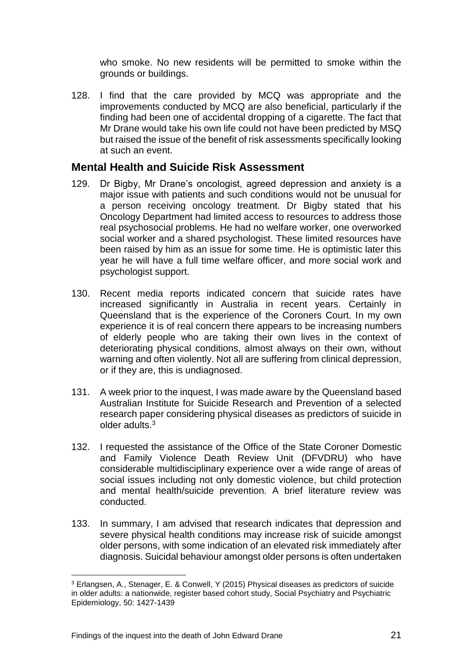who smoke. No new residents will be permitted to smoke within the grounds or buildings.

128. I find that the care provided by MCQ was appropriate and the improvements conducted by MCQ are also beneficial, particularly if the finding had been one of accidental dropping of a cigarette. The fact that Mr Drane would take his own life could not have been predicted by MSQ but raised the issue of the benefit of risk assessments specifically looking at such an event.

#### <span id="page-22-0"></span>**Mental Health and Suicide Risk Assessment**

- 129. Dr Bigby, Mr Drane's oncologist, agreed depression and anxiety is a major issue with patients and such conditions would not be unusual for a person receiving oncology treatment. Dr Bigby stated that his Oncology Department had limited access to resources to address those real psychosocial problems. He had no welfare worker, one overworked social worker and a shared psychologist. These limited resources have been raised by him as an issue for some time. He is optimistic later this year he will have a full time welfare officer, and more social work and psychologist support.
- 130. Recent media reports indicated concern that suicide rates have increased significantly in Australia in recent years. Certainly in Queensland that is the experience of the Coroners Court. In my own experience it is of real concern there appears to be increasing numbers of elderly people who are taking their own lives in the context of deteriorating physical conditions, almost always on their own, without warning and often violently. Not all are suffering from clinical depression, or if they are, this is undiagnosed.
- 131. A week prior to the inquest, I was made aware by the Queensland based Australian Institute for Suicide Research and Prevention of a selected research paper considering physical diseases as predictors of suicide in older adults.<sup>3</sup>
- 132. I requested the assistance of the Office of the State Coroner Domestic and Family Violence Death Review Unit (DFVDRU) who have considerable multidisciplinary experience over a wide range of areas of social issues including not only domestic violence, but child protection and mental health/suicide prevention. A brief literature review was conducted.
- 133. In summary, I am advised that research indicates that depression and severe physical health conditions may increase risk of suicide amongst older persons, with some indication of an elevated risk immediately after diagnosis. Suicidal behaviour amongst older persons is often undertaken

l

<sup>3</sup> Erlangsen, A., Stenager, E. & Conwell, Y (2015) Physical diseases as predictors of suicide in older adults: a nationwide, register based cohort study, Social Psychiatry and Psychiatric Epidemiology, 50: 1427-1439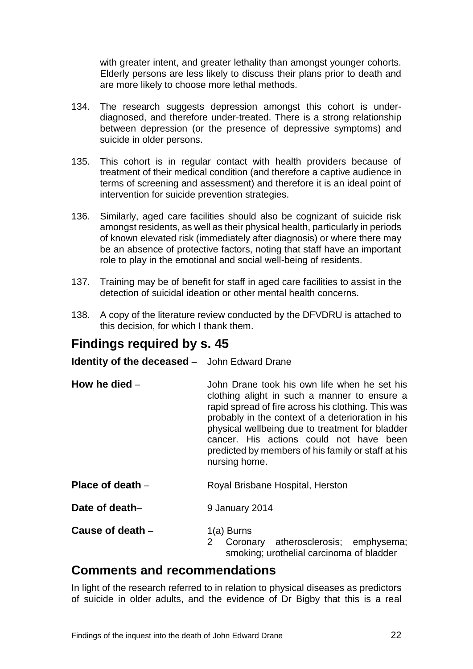with greater intent, and greater lethality than amongst younger cohorts. Elderly persons are less likely to discuss their plans prior to death and are more likely to choose more lethal methods.

- 134. The research suggests depression amongst this cohort is underdiagnosed, and therefore under-treated. There is a strong relationship between depression (or the presence of depressive symptoms) and suicide in older persons.
- 135. This cohort is in regular contact with health providers because of treatment of their medical condition (and therefore a captive audience in terms of screening and assessment) and therefore it is an ideal point of intervention for suicide prevention strategies.
- 136. Similarly, aged care facilities should also be cognizant of suicide risk amongst residents, as well as their physical health, particularly in periods of known elevated risk (immediately after diagnosis) or where there may be an absence of protective factors, noting that staff have an important role to play in the emotional and social well-being of residents.
- 137. Training may be of benefit for staff in aged care facilities to assist in the detection of suicidal ideation or other mental health concerns.
- 138. A copy of the literature review conducted by the DFVDRU is attached to this decision, for which I thank them.

### <span id="page-23-0"></span>**Findings required by s. 45**

<span id="page-23-1"></span>**Identity of the deceased** – John Edward Drane

- <span id="page-23-2"></span>**How he died** – **John Drane took his own life when he set his** clothing alight in such a manner to ensure a rapid spread of fire across his clothing. This was probably in the context of a deterioration in his physical wellbeing due to treatment for bladder cancer. His actions could not have been predicted by members of his family or staff at his nursing home.
- <span id="page-23-3"></span>**Place of death** – Royal Brisbane Hospital, Herston
- <span id="page-23-4"></span>**Date of death–** 9 January 2014

<span id="page-23-5"></span>**Cause of death – 1(a) Burns** 

2 Coronary atherosclerosis; emphysema; smoking; urothelial carcinoma of bladder

### <span id="page-23-6"></span>**Comments and recommendations**

In light of the research referred to in relation to physical diseases as predictors of suicide in older adults, and the evidence of Dr Bigby that this is a real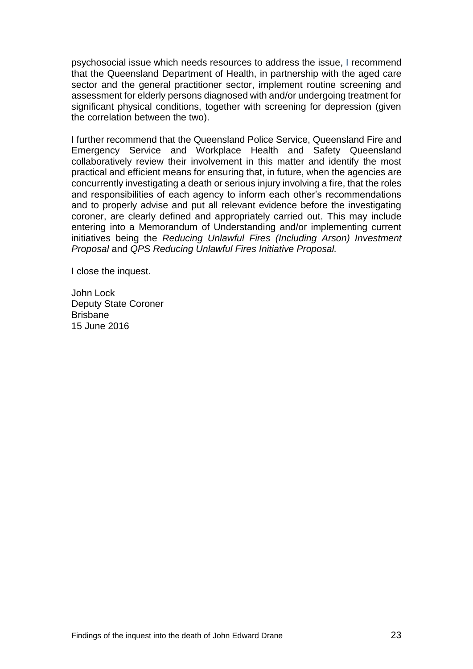psychosocial issue which needs resources to address the issue, I recommend that the Queensland Department of Health, in partnership with the aged care sector and the general practitioner sector, implement routine screening and assessment for elderly persons diagnosed with and/or undergoing treatment for significant physical conditions, together with screening for depression (given the correlation between the two).

I further recommend that the Queensland Police Service, Queensland Fire and Emergency Service and Workplace Health and Safety Queensland collaboratively review their involvement in this matter and identify the most practical and efficient means for ensuring that, in future, when the agencies are concurrently investigating a death or serious injury involving a fire, that the roles and responsibilities of each agency to inform each other's recommendations and to properly advise and put all relevant evidence before the investigating coroner, are clearly defined and appropriately carried out. This may include entering into a Memorandum of Understanding and/or implementing current initiatives being the *Reducing Unlawful Fires (Including Arson) Investment Proposal* and *QPS Reducing Unlawful Fires Initiative Proposal.*

I close the inquest.

John Lock Deputy State Coroner Brisbane 15 June 2016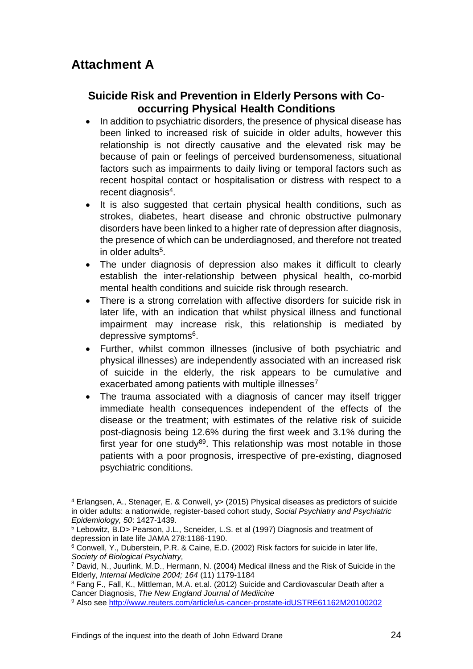### <span id="page-25-0"></span>**Suicide Risk and Prevention in Elderly Persons with Cooccurring Physical Health Conditions**

- In addition to psychiatric disorders, the presence of physical disease has been linked to increased risk of suicide in older adults, however this relationship is not directly causative and the elevated risk may be because of pain or feelings of perceived burdensomeness, situational factors such as impairments to daily living or temporal factors such as recent hospital contact or hospitalisation or distress with respect to a recent diagnosis<sup>4</sup>.
- It is also suggested that certain physical health conditions, such as strokes, diabetes, heart disease and chronic obstructive pulmonary disorders have been linked to a higher rate of depression after diagnosis, the presence of which can be underdiagnosed, and therefore not treated in older adults<sup>5</sup>.
- The under diagnosis of depression also makes it difficult to clearly establish the inter-relationship between physical health, co-morbid mental health conditions and suicide risk through research.
- There is a strong correlation with affective disorders for suicide risk in later life, with an indication that whilst physical illness and functional impairment may increase risk, this relationship is mediated by depressive symptoms<sup>6</sup>.
- Further, whilst common illnesses (inclusive of both psychiatric and physical illnesses) are independently associated with an increased risk of suicide in the elderly, the risk appears to be cumulative and exacerbated among patients with multiple illnesses<sup>7</sup>
- The trauma associated with a diagnosis of cancer may itself trigger immediate health consequences independent of the effects of the disease or the treatment; with estimates of the relative risk of suicide post-diagnosis being 12.6% during the first week and 3.1% during the first year for one study<sup>89</sup>. This relationship was most notable in those patients with a poor prognosis, irrespective of pre-existing, diagnosed psychiatric conditions.

l <sup>4</sup> Erlangsen, A., Stenager, E. & Conwell, y> (2015) Physical diseases as predictors of suicide in older adults: a nationwide, register-based cohort study, *Social Psychiatry and Psychiatric Epidemiology, 50*: 1427-1439.

<sup>5</sup> Lebowitz, B.D> Pearson, J.L., Scneider, L.S. et al (1997) Diagnosis and treatment of depression in late life JAMA 278:1186-1190.

<sup>6</sup> Conwell, Y., Duberstein, P.R. & Caine, E.D. (2002) Risk factors for suicide in later life, *Society of Biological Psychiatry,*

<sup>7</sup> David, N., Juurlink, M.D., Hermann, N. (2004) Medical illness and the Risk of Suicide in the Elderly, *Internal Medicine 2004; 164* (11) 1179-1184

<sup>8</sup> Fang F., Fall, K., Mittleman, M.A. et.al. (2012) Suicide and Cardiovascular Death after a Cancer Diagnosis, *The New England Journal of Mediicine*

<sup>9</sup> Also see<http://www.reuters.com/article/us-cancer-prostate-idUSTRE61162M20100202>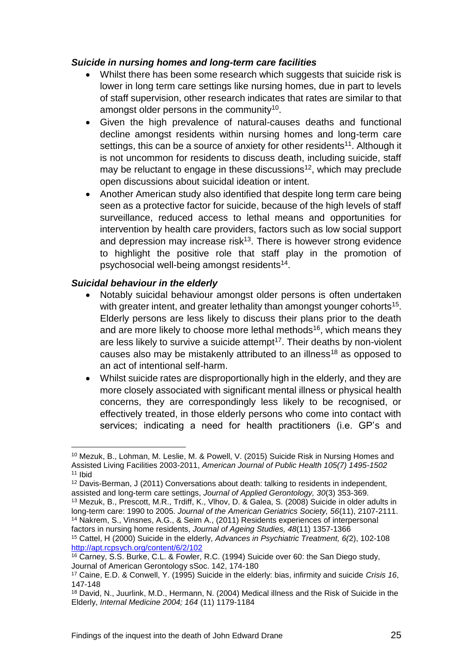#### *Suicide in nursing homes and long-term care facilities*

- Whilst there has been some research which suggests that suicide risk is lower in long term care settings like nursing homes, due in part to levels of staff supervision, other research indicates that rates are similar to that amongst older persons in the community<sup>10</sup>.
- Given the high prevalence of natural-causes deaths and functional decline amongst residents within nursing homes and long-term care settings, this can be a source of anxiety for other residents<sup>11</sup>. Although it is not uncommon for residents to discuss death, including suicide, staff may be reluctant to engage in these discussions<sup>12</sup>, which may preclude open discussions about suicidal ideation or intent.
- Another American study also identified that despite long term care being seen as a protective factor for suicide, because of the high levels of staff surveillance, reduced access to lethal means and opportunities for intervention by health care providers, factors such as low social support and depression may increase risk $13$ . There is however strong evidence to highlight the positive role that staff play in the promotion of psychosocial well-being amongst residents<sup>14</sup>.

#### *Suicidal behaviour in the elderly*

l

- Notably suicidal behaviour amongst older persons is often undertaken with greater intent, and greater lethality than amongst younger cohorts<sup>15</sup>. Elderly persons are less likely to discuss their plans prior to the death and are more likely to choose more lethal methods<sup>16</sup>, which means they are less likely to survive a suicide attempt<sup>17</sup>. Their deaths by non-violent causes also may be mistakenly attributed to an illness<sup>18</sup> as opposed to an act of intentional self-harm.
- Whilst suicide rates are disproportionally high in the elderly, and they are more closely associated with significant mental illness or physical health concerns, they are correspondingly less likely to be recognised, or effectively treated, in those elderly persons who come into contact with services; indicating a need for health practitioners (i.e. GP's and

<sup>10</sup> Mezuk, B., Lohman, M. Leslie, M. & Powell, V. (2015) Suicide Risk in Nursing Homes and Assisted Living Facilities 2003-2011, *American Journal of Public Health 105(7) 1495-1502* <sup>11</sup> Ibid

<sup>12</sup> Davis-Berman, J (2011) Conversations about death: talking to residents in independent, assisted and long-term care settings, *Journal of Applied Gerontology, 30*(3) 353-369. <sup>13</sup> Mezuk, B., Prescott, M.R., Trdiff, K., Vlhov, D. & Galea, S. (2008) Suicide in older adults in

long-term care: 1990 to 2005. *Journal of the American Geriatrics Society, 56*(11), 2107-2111. <sup>14</sup> Nakrem, S., Vinsnes, A.G., & Seim A., (2011) Residents experiences of interpersonal factors in nursing home residents, *Journal of Ageing Studies, 48*(11) 1357-1366

<sup>15</sup> Cattel, H (2000) Suicide in the elderly, *Advances in Psychiatric Treatment, 6(*2), 102-108 <http://apt.rcpsych.org/content/6/2/102>

<sup>16</sup> Carney, S.S. Burke, C.L. & Fowler, R.C. (1994) Suicide over 60: the San Diego study, Journal of American Gerontology sSoc. 142, 174-180

<sup>17</sup> Caine, E.D. & Conwell, Y. (1995) Suicide in the elderly: bias, infirmity and suicide *Crisis 16*, 147-148

<sup>18</sup> David, N., Juurlink, M.D., Hermann, N. (2004) Medical illness and the Risk of Suicide in the Elderly, *Internal Medicine 2004; 164* (11) 1179-1184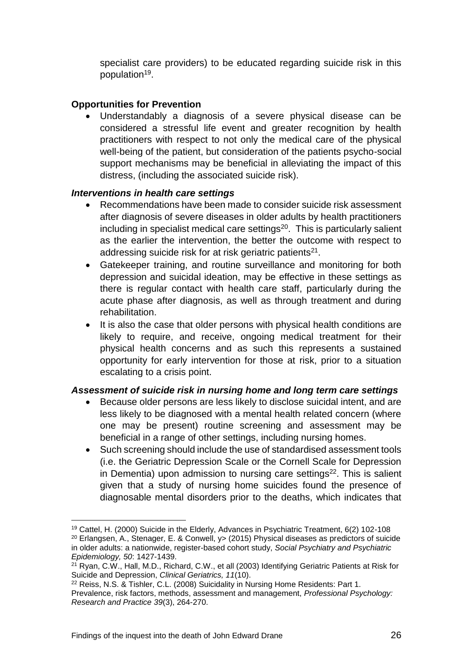specialist care providers) to be educated regarding suicide risk in this population<sup>19</sup>.

#### **Opportunities for Prevention**

 Understandably a diagnosis of a severe physical disease can be considered a stressful life event and greater recognition by health practitioners with respect to not only the medical care of the physical well-being of the patient, but consideration of the patients psycho-social support mechanisms may be beneficial in alleviating the impact of this distress, (including the associated suicide risk).

#### *Interventions in health care settings*

- Recommendations have been made to consider suicide risk assessment after diagnosis of severe diseases in older adults by health practitioners including in specialist medical care settings $20$ . This is particularly salient as the earlier the intervention, the better the outcome with respect to addressing suicide risk for at risk geriatric patients<sup>21</sup>.
- Gatekeeper training, and routine surveillance and monitoring for both depression and suicidal ideation, may be effective in these settings as there is regular contact with health care staff, particularly during the acute phase after diagnosis, as well as through treatment and during rehabilitation.
- It is also the case that older persons with physical health conditions are likely to require, and receive, ongoing medical treatment for their physical health concerns and as such this represents a sustained opportunity for early intervention for those at risk, prior to a situation escalating to a crisis point.

#### *Assessment of suicide risk in nursing home and long term care settings*

- Because older persons are less likely to disclose suicidal intent, and are less likely to be diagnosed with a mental health related concern (where one may be present) routine screening and assessment may be beneficial in a range of other settings, including nursing homes.
- Such screening should include the use of standardised assessment tools (i.e. the Geriatric Depression Scale or the Cornell Scale for Depression in Dementia) upon admission to nursing care settings $22$ . This is salient given that a study of nursing home suicides found the presence of diagnosable mental disorders prior to the deaths, which indicates that

l <sup>19</sup> Cattel, H. (2000) Suicide in the Elderly, Advances in Psychiatric Treatment, 6(2) 102-108 <sup>20</sup> Erlangsen, A., Stenager, E. & Conwell, y> (2015) Physical diseases as predictors of suicide in older adults: a nationwide, register-based cohort study, *Social Psychiatry and Psychiatric Epidemiology, 50*: 1427-1439.

<sup>&</sup>lt;sup>21</sup> Ryan, C.W., Hall, M.D., Richard, C.W., et all (2003) Identifying Geriatric Patients at Risk for Suicide and Depression, *Clinical Geriatrics, 11*(10).

<sup>22</sup> Reiss, N.S. & Tishler, C.L. (2008) Suicidality in Nursing Home Residents: Part 1.

Prevalence, risk factors, methods, assessment and management, *Professional Psychology: Research and Practice 39*(3), 264-270.